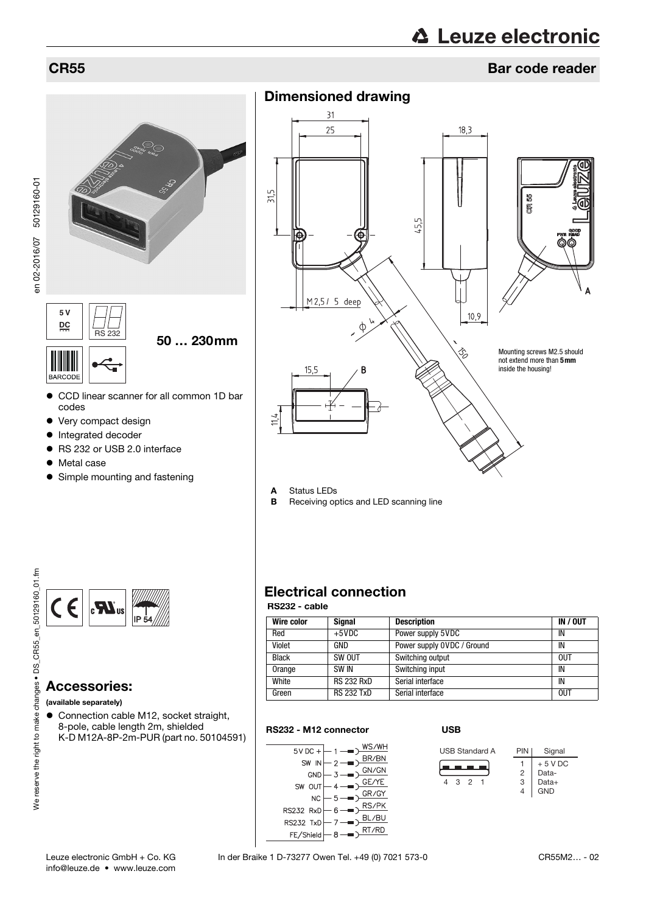en 02-2016/07 50129160-01

en 02-2016/07 50129160-01

# **△ Leuze electronic**

## CR55 Bar code reader





- CCD linear scanner for all common 1D bar codes
- Very compact design
- Integrated decoder
- RS 232 or USB 2.0 interface
- Metal case
- Simple mounting and fastening



## Accessories:

(available separately)

 Connection cable M12, socket straight, 8-pole, cable length 2m, shielded K-D M12A-8P-2m-PUR (part no. 50104591)



- A Status LEDs
- **B** Receiving optics and LED scanning line

# Electrical connection

### RS232 - cable

| Wire color   | <b>Signal</b>     | <b>Description</b>         | IN / OUT   |
|--------------|-------------------|----------------------------|------------|
| Red          | $+5$ VDC          | Power supply 5VDC          | IN         |
| Violet       | GND               | Power supply OVDC / Ground | IN         |
| <b>Black</b> | SW OUT            | Switching output           | <b>OUT</b> |
| Orange       | <b>SW IN</b>      | Switching input            | IN         |
| White        | <b>RS 232 RxD</b> | Serial interface           | IN         |
| Green        | <b>RS 232 TxD</b> | Serial interface           | <b>OUT</b> |

### RS232 - M12 connector



### USB

<span id="page-0-0"></span>

PIN | Signal Data-Data+ GND + 5 V DC